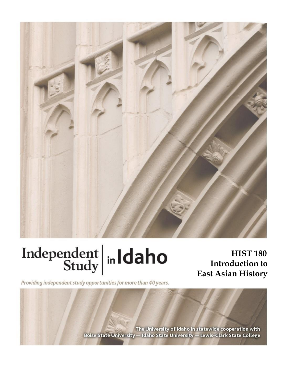

# Independent  $\left|\frac{\text{ind}}{\text{study}}\right|$  in Idaho

**HIST 180 Introduction to East Asian History**

Providing independent study opportunities for more than 40 years.

The University of Idaho in statewide cooperation with Boise State University - Idaho State University - Lewis-Clark State College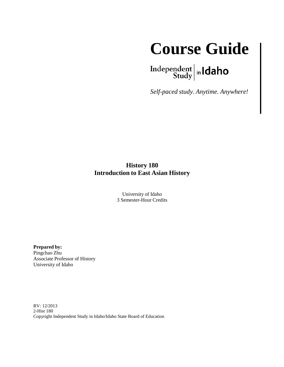

 $\left.\begin{array}{c|c} \textbf{Independent} & \textbf{h} \\ \textbf{Study} & \textbf{h} \end{array}\right.$ 

*Self-paced study. Anytime. Anywhere!*

#### **History 180 Introduction to East Asian History**

University of Idaho 3 Semester-Hour Credits

**Prepared by:** Pingchao Zhu Associate Professor of History University of Idaho

RV: 12/2013 2-Hist 180 Copyright Independent Study in Idaho/Idaho State Board of Education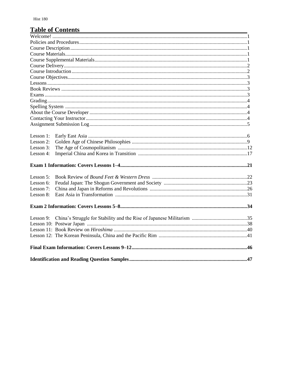#### **Table of Contents**

| Lesson 1: |  |  |  |
|-----------|--|--|--|
| Lesson 2: |  |  |  |
| Lesson 3: |  |  |  |
| Lesson 4: |  |  |  |
|           |  |  |  |
| Lesson 5: |  |  |  |
| Lesson 6: |  |  |  |
| Lesson 7: |  |  |  |
| Lesson 8: |  |  |  |
|           |  |  |  |
| Lesson 9: |  |  |  |
|           |  |  |  |
|           |  |  |  |
|           |  |  |  |
|           |  |  |  |
|           |  |  |  |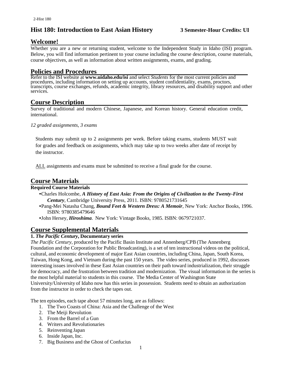#### **Hist 180: Introduction to East Asian History 3 Semester-Hour Credits: UI**

#### **Welcome!**

Whether you are a new or returning student, welcome to the Independent Study in Idaho (ISI) program. Below, you will find information pertinent to your course including the course description, course materials, course objectives, as well as information about written assignments, exams, and grading.

#### **Policies and Procedures**

Refer to the ISI website at **www.uidaho.edu/isi** and select *Students* for the most current policies and procedures, including information on setting up accounts, student confidentiality, exams, proctors, transcripts, course exchanges, refunds, academic integrity, library resources, and disability support and other services.

#### **Course Description**

Survey of traditional and modern Chinese, Japanese, and Korean history. General education credit, international.

*12 graded assignments, 3 exams* 

Students may submit up to 2 assignments per week. Before taking exams, students MUST wait for grades and feedback on assignments, which may take up to two weeks after date of receipt by the instructor.

ALL assignments and exams must be submitted to receive a final grade for the course.

#### **Course Materials**

#### **Required Course Materials**

- •Charles Holcombe, *A History of East Asia: From the Origins of Civilization to the Twenty-First Century*, Cambridge University Press, 2011. ISBN: 9780521731645
- •Pang-Mei Natasha Chang, *Bound Feet & Western Dress: A Memoir*, New York: Anchor Books, 1996. ISBN: 9780385479646
- •John Hersey, *Hiroshima*. New York: Vintage Books, 1985. ISBN: 0679721037.

#### **Course Supplemental Materials**

#### **1.** *The Pacific Century***, Documentary series**

*The Pacific Century,* produced by the Pacific Basin Institute and Annenberg/CPB (The Annenberg Foundation and the Corporation for Public Broadcasting), is a set of ten instructional videos on the political, cultural, and economic development of major East Asian countries, including China, Japan, South Korea, Taiwan, Hong Kong, and Vietnam during the past 150 years. The video series, produced in 1992, discusses interesting issues involved in these East Asian countries on their path toward industrialization, their struggle for democracy, and the frustration between tradition and modernization. The visual information in the series is the most helpful material to students in this course. The Media Center of Washington State University/University of Idaho now has this series in possession. Students need to obtain an authorization from the instructor in order to check the tapes out.

The ten episodes, each tape about 57 minutes long, are as follows:

- 1. The Two Coasts of China: Asia and the Challenge of the West
- 2. The Meiji Revolution
- 3. From the Barrel of a Gun
- 4. Writers and Revolutionaries
- 5. Reinventing Japan
- 6. Inside Japan, Inc.
- 7. Big Business and the Ghost of Confucius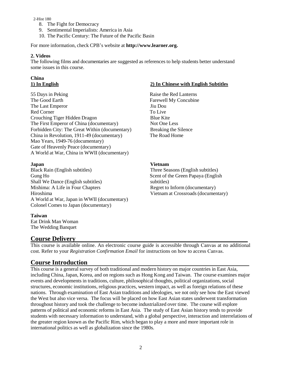#### 2-Hist 180

- 8. The Fight for Democracy
- 9. Sentimental Imperialists: America in Asia
- 10. The Pacific Century: The Future of the Pacific Basin

For more information, check CPB's website at **[http://www.learner.org.](http://www.learner.org/)**

#### **2. Videos**

The following films and documentaries are suggested as references to help students better understand some issues in this course.

## **China**

55 Days in Peking Raise the Red Lanterns The Good Earth Farewell My Concubine The Last Emperor Jiu Dou Red Corner To Live Crouching Tiger Hidden Dragon Blue Kite The First Emperor of China (documentary) Not One Less Forbidden City: The Great Within (documentary) Breaking the Silence China in Revolution, 1911-49 (documentary) The Road Home Mao Years, 1949-76 (documentary) Gate of Heavenly Peace (documentary) A World at War, China in WWII (documentary)

Black Rain (English subtitles) Three Seasons (English subtitles) Gung Ho Scent of the Green Papaya (English Shall We Dance (English subtitles) subtitles) Mishima: A Life in Four Chapters Regret to Inform (documentary) Hiroshima Vietnam at Crossroads (documentary) A World at War, Japan in WWII (documentary) Colonel Comes to Japan (documentary)

#### **Taiwan**

Eat Drink Man Woman The Wedding Banquet

#### **Course Delivery**

This course is available online. An electronic course guide is accessible through Canvas at no additional cost. Refer to your *Registration Confirmation Email* for instructions on how to access Canvas.

#### **Course Introduction**

This course is a general survey of both traditional and modern history on major countries in East Asia, including China, Japan, Korea, and on regions such as Hong Kong and Taiwan. The course examines major events and developments in traditions, culture, philosophical thoughts, political organizations, social structures, economic institutions, religious practices, western impact, as well as foreign relations of these nations. Through examination of East Asian traditions and ideologies, we not only see how the East viewed the West but also vice versa. The focus will be placed on how East Asian states underwent transformation throughout history and took the challenge to become industrialized over time. The course will explore patterns of political and economic reforms in East Asia. The study of East Asian history tends to provide students with necessary information to understand, with a global perspective, interaction and interrelations of the greater region known as the Pacific Rim, which began to play a more and more important role in international politics as well as globalization since the 1980s.

#### **1) In English 2) In Chinese with English Subtitles**

#### **Japan Vietnam**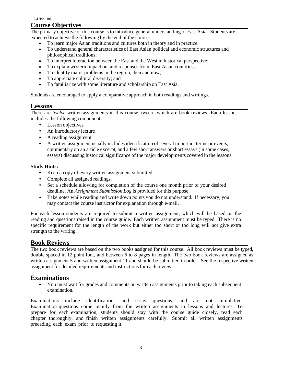#### 2-Hist 180 **Course Objectives**

The primary objective of this course is to introduce general understanding of East Asia. Students are expected to achieve the following by the end of the course:

- To learn major Asian traditions and cultures both in theory and in practice;
- To understand general characteristics of East Asian political and economic structures and philosophical traditions;
- To interpret interaction between the East and the West in historical perspective;
- To explain western impact on, and responses from, East Asian countries;
- To identify major problems in the region, then and now;
- To appreciate cultural diversity; and
- To familiarize with some literature and scholarship on East Asia.

Students are encouraged to apply a comparative approach in both readings and writings.

#### **Lessons**

There are *twelve* written assignments in this course, two of which are book reviews. Each lesson includes the following components:

- Lesson objectives
- An introductory lecture
- A reading assignment
- A written assignment usually includes identification of several important terms or events, commentary on an article excerpt, and a few short answers or short essays (in some cases, essays) discussing historical significance of the major developments covered in the lessons.

#### **Study Hints:**

- Keep a copy of every written assignment submitted.
- Complete all assigned readings.
- Set a schedule allowing for completion of the course one month prior to your desired deadline. An *Assignment Submission Log* is provided for this purpose.
- Take notes while reading and write down points you do not understand. If necessary, you may contact the course instructor for explanation through e-mail.

For each lesson students are required to submit a written assignment, which will be based on the reading and questions raised in the course guide. Each written assignment must be typed. There is no specific requirement for the length of the work but either too short or too long will not give extra strength to the writing.

#### **Book Reviews**

The *two* book reviews are based on the two books assigned for this course. All book reviews must be typed, double spaced in 12 point font, and between 6 to 8 pages in length. The two book reviews are assigned as written assignment 5 and written assignment 11 and should be submitted in order. See the respective written assignment for detailed requirements and instructions for each review.

#### **Examinations**

• You must wait for grades and comments on written assignments prior to taking each subsequent examination.

Examinations include identifications and essay questions, and are not cumulative. Examination questions come mainly from the written assignments in lessons and lectures. To prepare for each examination, students should stay with the course guide closely, read each chapter thoroughly, and finish written assignments carefully. Submit all written assignments preceding each exam prior to requesting it.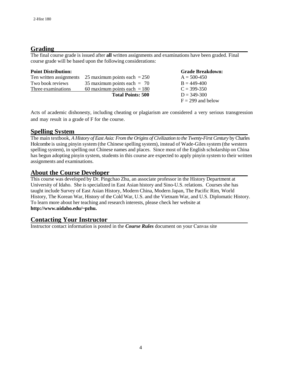#### **Grading**

The final course grade is issued after **all** written assignments and examinations have been graded. Final course grade will be based upon the following considerations:

| <b>Point Distribution:</b> |                                | <b>Grade Breakdown:</b> |
|----------------------------|--------------------------------|-------------------------|
| Ten written assignments    | 25 maximum points each $=$ 250 | $A = 500-450$           |
| Two book reviews           | 35 maximum points each $= 70$  | $B = 449-400$           |
| Three examinations         | 60 maximum points each $= 180$ | $C = 399-350$           |
|                            | <b>Total Points: 500</b>       | $D = 349 - 300$         |
|                            |                                | $F = 299$ and below     |

Acts of academic dishonesty, including cheating or plagiarism are considered a very serious transgression and may result in a grade of F for the course.

#### **Spelling System**

The main textbook, *A History of East Asia: From the Origins of Civilization to the Twenty-First Century* by Charles Holcombe is using pinyin system (the Chinese spelling system), instead of Wade-Giles system (the western spelling system), in spelling out Chinese names and places. Since most of the English scholarship on China has begun adopting pinyin system, students in this course are expected to apply pinyin system to their written assignments and examinations.

#### **About the Course Developer**

This course was developed by Dr. Pingchao Zhu, an associate professor in the History Department at University of Idaho. She is specialized in East Asian history and Sino-U.S. relations. Courses she has taught include Survey of East Asian History, Modern China, Modern Japan, The Pacific Rim, World History, The Korean War, History of the Cold War, U.S. and the Vietnam War, and U.S. Diplomatic History. To learn more about her teaching and research interests, please check her website at **[http://www.uidaho.edu/~pzhu.](http://www.uidaho.edu/~pzhu)**

#### **Contacting Your Instructor**

Instructor contact information is posted in the *Course Rules* document on your Canvas site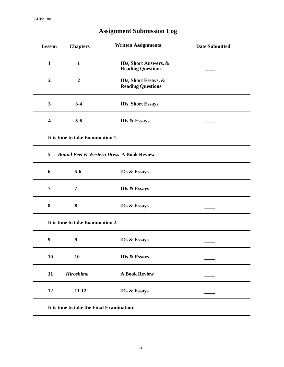| <b>Lesson</b>                     | <b>Chapters</b>  | <b>Written Assignments</b>                          | <b>Date Submitted</b> |  |  |
|-----------------------------------|------------------|-----------------------------------------------------|-----------------------|--|--|
| $\mathbf{1}$                      | $\mathbf{1}$     | IDs, Short Answers, &<br><b>Reading Questions</b>   |                       |  |  |
| $\overline{2}$                    | $\boldsymbol{2}$ | IDs, Short Essays, &<br><b>Reading Questions</b>    |                       |  |  |
| $\mathbf{3}$                      | $3-4$            | <b>IDs, Short Essays</b>                            |                       |  |  |
| $\overline{\mathbf{4}}$           | $5-6$            | <b>IDs &amp; Essays</b>                             |                       |  |  |
| It is time to take Examination 1. |                  |                                                     |                       |  |  |
| 5                                 |                  | <b>Bound Feet &amp; Western Dress A Book Review</b> |                       |  |  |
| 6                                 | $5-6$            | <b>IDs &amp; Essays</b>                             |                       |  |  |
| 7                                 | 7                | <b>IDs &amp; Essays</b>                             |                       |  |  |
| 8                                 | 8                | <b>IDs &amp; Essays</b>                             |                       |  |  |
| It is time to take Examination 2. |                  |                                                     |                       |  |  |
| 9                                 | 9                | <b>IDs &amp; Essays</b>                             |                       |  |  |
| 10                                | 10               | <b>IDs &amp; Essays</b>                             |                       |  |  |
| 11                                | <b>Hiroshima</b> | <b>A Book Review</b>                                |                       |  |  |
| 12                                | $11 - 12$        | <b>IDs &amp; Essays</b>                             |                       |  |  |
|                                   |                  |                                                     |                       |  |  |

### **Assignment Submission Log**

**It is time to take the Final Examination.**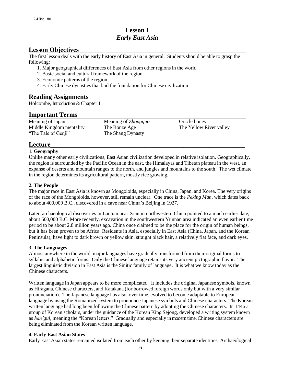#### **Lesson 1** *Early East Asia*

#### **Lesson Objectives**

The first lesson deals with the early history of East Asia in general. Students should be able to grasp the following:

- 1. Major geographical differences of East Asia from other regions in the world
- 2. Basic social and cultural framework of the region
- 3. Economic patterns of the region
- 4. Early Chinese dynasties that laid the foundation for Chinese civilization

#### **Reading Assignments**

Holcombe, Introduction & Chapter 1

#### **Important Terms**

Meaning of Japan Meaning of *Zhongguo* Oracle bones Middle Kingdom mentality The Bonze Age The Yellow River valley "The Tale of Genji" The Shang Dynasty

#### **Lecture\_\_\_\_\_\_\_\_\_\_\_\_\_\_\_\_\_\_\_\_\_\_\_\_\_\_\_\_\_\_\_\_\_\_\_\_\_\_\_\_\_\_\_\_\_\_\_\_\_\_\_\_\_\_\_\_\_\_\_\_**

#### **1. Geography**

Unlike many other early civilizations, East Asian civilization developed in relative isolation. Geographically, the region is surrounded by the Pacific Ocean in the east, the Himalayas and Tibetan plateau in the west, an expanse of deserts and mountain ranges to the north, and jungles and mountains to the south. The wet climate in the region determines its agricultural pattern, mostly rice growing.

#### **2. The People**

The major race in East Asia is known as Mongoloids, especially in China, Japan, and Korea. The very origins of the race of the Mongoloids, however, still remain unclear. One trace is the *Peking Man*, which dates back to about 400,000 B.C., discovered in a cave near China's Beijing in 1927.

Later, archaeological discoveries in Lantian near Xian in northwestern China pointed to a much earlier date, about 600,000 B.C. More recently, excavation in the southwestern Yunnan area indicated an even earlier time period to be about 2.8 million years ago. China once claimed to be the place for the origin of human beings, but it has been proven to be Africa. Residents in Asia, especially in East Asia (China, Japan, and the Korean Peninsula), have light to dark brown or yellow skin, straight black hair, a relatively flat face, and dark eyes.

#### **3. The Languages**

Almost anywhere in the world, major languages have gradually transformed from their original forms to syllabic and alphabetic forms. Only the Chinese language retains its very ancient pictographic flavor. The largest linguistic division in East Asia is the Sinitic family of language. It is what we know today as the Chinese characters.

Written language in Japan appears to be more complicated. It includes the original Japanese symbols, known as Hiragana, Chinese characters, and Katakana (for borrowed foreign words only but with a very similar pronunciation). The Japanese language has also, over time, evolved to become adaptable to European language by using the Romanized system to pronounce Japanese symbols and Chinese characters. The Korean written language had long been following the Chinese pattern by adopting the Chinese characters. In 1446 a group of Korean scholars, under the guidance of the Korean King Sejong, developed a writing system known as *han'gul,* meaning the "Korean letters." Gradually and especially in modern time, Chinese characters are being eliminated from the Korean written language.

#### **4. Early East Asian States**

Early East Asian states remained isolated from each other by keeping their separate identities. Archaeological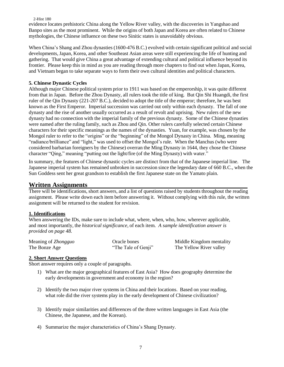#### 2-Hist 180

evidence locates prehistoric China along the Yellow River valley, with the discoveries in Yangshao and Banpo sites as the most prominent. While the origins of both Japan and Korea are often related to Chinese mythologies, the Chinese influence on these two Sinitic states is unavoidably obvious.

When China's Shang and Zhou dynasties (1600-476 B.C.) evolved with certain significant political and social developments,Japan, Korea, and other Southeast Asian areas were still experiencing the life of hunting and gathering. That would give China a great advantage of extending cultural and political influence beyond its frontier. Please keep this in mind as you are reading through more chapters to find out when Japan, Korea, and Vietnam began to take separate ways to form their own cultural identities and political characters.

#### **5. Chinese Dynastic Cycles**

Although major Chinese political system prior to 1911 was based on the emperorship, it was quite different from that in Japan. Before the Zhou Dynasty, all rulers took the title of king. But Qin Shi Huangdi, the first ruler of the Qin Dynasty (221-207 B.C.), decided to adopt the title of the emperor; therefore, he was best known as the First Emperor. Imperial succession was carried out only within each dynasty. The fall of one dynasty and the rise of another usually occurred as a result of revolt and uprising. New rulers of the new dynasty had no connection with the imperial family of the previous dynasty. Some of the Chinese dynasties were named after the ruling family, such as Zhou and Qin. Other rulers carefully selected certain Chinese characters for their specific meanings as the names of the dynasties. Yuan, for example, was chosen by the Mongol ruler to refer to the "origins" or the "beginning" of the Mongol Dynasty in China. Ming, meaning "radiance/brilliance" and "light," was used to offset the Mongol's rule. When the Manchus (who were considered barbarian foreigners by the Chinese) overran the Ming Dynasty in 1644, they chose the Chinese character "Qing," meaning "putting out the light/fire (of the Ming Dynasty) with water."

In summary, the features of Chinese dynastic cycles are distinct from that of the Japanese imperial line. The Japanese imperial system has remained unbroken in succession since the legendary date of 660 B.C., when the Sun Goddess sent her great grandson to establish the first Japanese state on the Yamato plain.

#### **Written Assignments**

There will be identifications, short answers, and a list of questions raised by students throughout the reading assignment. Please write down each item before answering it. Without complying with this rule, the written assignment will be returned to the student for revision.

#### **1. Identifications**

When answering the IDs, make sure to include what, where, when, who, how, wherever applicable, and most importantly, the *historical significance*, of each item. *A sample identification answer is provided on page 48.* 

| Meaning of Zhongguo | Oracle bones        | Middle K  |
|---------------------|---------------------|-----------|
| The Bonze Age       | "The Tale of Genji" | The Yello |

ingdom mentality ow River valley

#### **2. Short Answer Questions**

Short answer requires only a couple of paragraphs.

- 1) What are the major geographical features of East Asia? How does geography determine the early developments in government and economy in the region?
- 2) Identify the two major river systems in China and their locations. Based on your reading, what role did the river systems play in the early development of Chinese civilization?
- 3) Identify major similarities and differences of the three written languages in East Asia (the Chinese, the Japanese, and the Korean).
- 4) Summarize the major characteristics of China's Shang Dynasty.